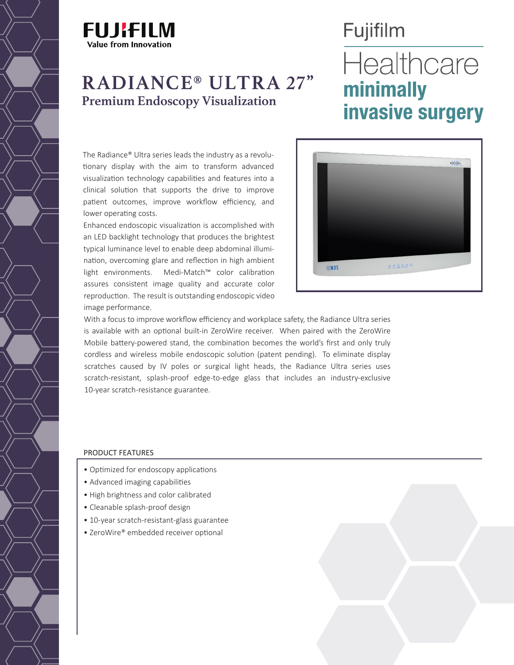



## **RADIANCE® ULTRA 27" Premium Endoscopy Visualization**

# Fujifilm Healthcare minimally **invasive surgery**

The Radiance® Ultra series leads the industry as a revolutionary display with the aim to transform advanced visualization technology capabilities and features into a clinical solution that supports the drive to improve patient outcomes, improve workflow efficiency, and lower operating costs.

Enhanced endoscopic visualization is accomplished with an LED backlight technology that produces the brightest typical luminance level to enable deep abdominal illumination, overcoming glare and reflection in high ambient light environments. Medi-Match™ color calibration assures consistent image quality and accurate color reproduction. The result is outstanding endoscopic video image performance.

# RÄDIANCE  $999988$ **INDS**

With a focus to improve workflow efficiency and workplace safety, the Radiance Ultra series is available with an optional built-in ZeroWire receiver. When paired with the ZeroWire Mobile battery-powered stand, the combination becomes the world's first and only truly cordless and wireless mobile endoscopic solution (patent pending). To eliminate display scratches caused by IV poles or surgical light heads, the Radiance Ultra series uses scratch-resistant, splash-proof edge-to-edge glass that includes an industry-exclusive 10-year scratch-resistance guarantee.

#### PRODUCT FEATURES

- Optimized for endoscopy applications
- Advanced imaging capabilities
- High brightness and color calibrated
- Cleanable splash-proof design
- 10-year scratch-resistant-glass guarantee
- ZeroWire® embedded receiver optional